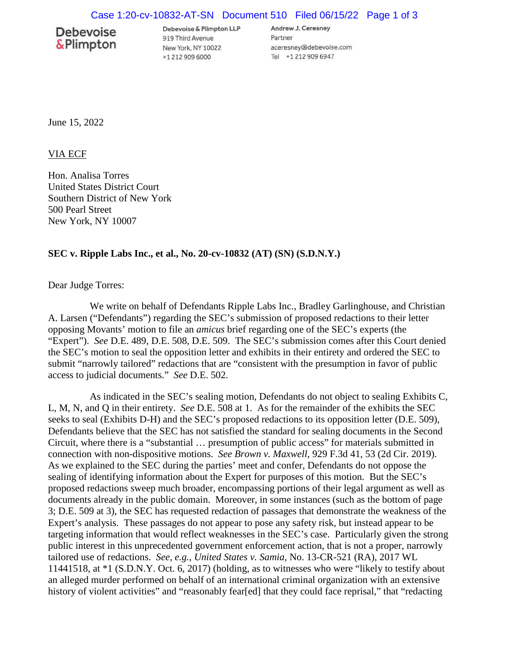## **Debevoise** &Plimpton

Debevoise & Plimpton LLP 919 Third Avenue New York, NY 10022 +1 212 909 6000

Andrew J. Ceresney Partner aceresney@debevoise.com Tel +1 212 909 6947

June 15, 2022

VIA ECF

Hon. Analisa Torres United States District Court Southern District of New York 500 Pearl Street New York, NY 10007

## **SEC v. Ripple Labs Inc., et al., No. 20-cv-10832 (AT) (SN) (S.D.N.Y.)**

Dear Judge Torres:

We write on behalf of Defendants Ripple Labs Inc., Bradley Garlinghouse, and Christian A. Larsen ("Defendants") regarding the SEC's submission of proposed redactions to their letter opposing Movants' motion to file an *amicus* brief regarding one of the SEC's experts (the "Expert"). *See* D.E. 489, D.E. 508, D.E. 509. The SEC's submission comes after this Court denied the SEC's motion to seal the opposition letter and exhibits in their entirety and ordered the SEC to submit "narrowly tailored" redactions that are "consistent with the presumption in favor of public access to judicial documents." *See* D.E. 502.

As indicated in the SEC's sealing motion, Defendants do not object to sealing Exhibits C, L, M, N, and Q in their entirety. *See* D.E. 508 at 1. As for the remainder of the exhibits the SEC seeks to seal (Exhibits D-H) and the SEC's proposed redactions to its opposition letter (D.E. 509), Defendants believe that the SEC has not satisfied the standard for sealing documents in the Second Circuit, where there is a "substantial … presumption of public access" for materials submitted in connection with non-dispositive motions. *See Brown v. Maxwell*, 929 F.3d 41, 53 (2d Cir. 2019). As we explained to the SEC during the parties' meet and confer, Defendants do not oppose the sealing of identifying information about the Expert for purposes of this motion. But the SEC's proposed redactions sweep much broader, encompassing portions of their legal argument as well as documents already in the public domain. Moreover, in some instances (such as the bottom of page 3; D.E. 509 at 3), the SEC has requested redaction of passages that demonstrate the weakness of the Expert's analysis. These passages do not appear to pose any safety risk, but instead appear to be targeting information that would reflect weaknesses in the SEC's case. Particularly given the strong public interest in this unprecedented government enforcement action, that is not a proper, narrowly tailored use of redactions. *See, e.g.*, *United States v. Samia*, No. 13-CR-521 (RA), 2017 WL 11441518, at \*1 (S.D.N.Y. Oct. 6, 2017) (holding, as to witnesses who were "likely to testify about an alleged murder performed on behalf of an international criminal organization with an extensive history of violent activities" and "reasonably fear[ed] that they could face reprisal," that "redacting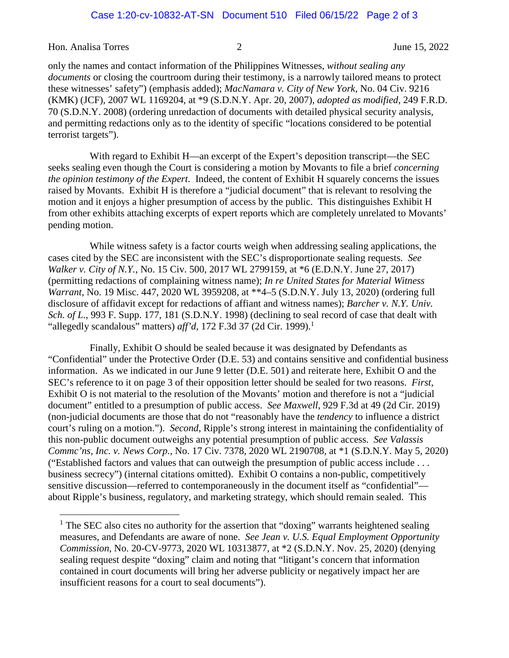Hon. Analisa Torres 2 June 15, 2022

only the names and contact information of the Philippines Witnesses, *without sealing any documents* or closing the courtroom during their testimony, is a narrowly tailored means to protect these witnesses' safety") (emphasis added); *MacNamara v. City of New York*, No. 04 Civ. 9216 (KMK) (JCF), 2007 WL 1169204, at \*9 (S.D.N.Y. Apr. 20, 2007), *adopted as modified*, 249 F.R.D. 70 (S.D.N.Y. 2008) (ordering unredaction of documents with detailed physical security analysis, and permitting redactions only as to the identity of specific "locations considered to be potential terrorist targets").

With regard to Exhibit H—an excerpt of the Expert's deposition transcript—the SEC seeks sealing even though the Court is considering a motion by Movants to file a brief *concerning the opinion testimony of the Expert*. Indeed, the content of Exhibit H squarely concerns the issues raised by Movants. Exhibit H is therefore a "judicial document" that is relevant to resolving the motion and it enjoys a higher presumption of access by the public. This distinguishes Exhibit H from other exhibits attaching excerpts of expert reports which are completely unrelated to Movants' pending motion.

While witness safety is a factor courts weigh when addressing sealing applications, the cases cited by the SEC are inconsistent with the SEC's disproportionate sealing requests. *See Walker v. City of N.Y.*, No. 15 Civ. 500, 2017 WL 2799159, at \*6 (E.D.N.Y. June 27, 2017) (permitting redactions of complaining witness name); *In re United States for Material Witness Warrant*, No. 19 Misc. 447, 2020 WL 3959208, at \*\*4–5 (S.D.N.Y. July 13, 2020) (ordering full disclosure of affidavit except for redactions of affiant and witness names); *Barcher v. N.Y. Univ. Sch. of L.*, 993 F. Supp. 177, 181 (S.D.N.Y. 1998) (declining to seal record of case that dealt with "allegedly scandalous" matters)  $\alpha f/d$ , [1](#page-1-0)72 F.3d 37 (2d Cir. 1999).<sup>1</sup>

Finally, Exhibit O should be sealed because it was designated by Defendants as "Confidential" under the Protective Order (D.E. 53) and contains sensitive and confidential business information. As we indicated in our June 9 letter (D.E. 501) and reiterate here, Exhibit O and the SEC's reference to it on page 3 of their opposition letter should be sealed for two reasons. *First*, Exhibit O is not material to the resolution of the Movants' motion and therefore is not a "judicial document" entitled to a presumption of public access. *See Maxwell*, 929 F.3d at 49 (2d Cir. 2019) (non-judicial documents are those that do not "reasonably have the *tendency* to influence a district court's ruling on a motion."). *Second*, Ripple's strong interest in maintaining the confidentiality of this non-public document outweighs any potential presumption of public access. *See Valassis Commc'ns, Inc. v. News Corp.*, No. 17 Civ. 7378, 2020 WL 2190708, at \*1 (S.D.N.Y. May 5, 2020) ("Established factors and values that can outweigh the presumption of public access include . . . business secrecy") (internal citations omitted). Exhibit O contains a non-public, competitively sensitive discussion—referred to contemporaneously in the document itself as "confidential" about Ripple's business, regulatory, and marketing strategy, which should remain sealed. This

<span id="page-1-0"></span><sup>&</sup>lt;sup>1</sup> The SEC also cites no authority for the assertion that "doxing" warrants heightened sealing measures, and Defendants are aware of none. *See Jean v. U.S. Equal Employment Opportunity Commission*, No. 20-CV-9773, 2020 WL 10313877, at \*2 (S.D.N.Y. Nov. 25, 2020) (denying sealing request despite "doxing" claim and noting that "litigant's concern that information contained in court documents will bring her adverse publicity or negatively impact her are insufficient reasons for a court to seal documents").